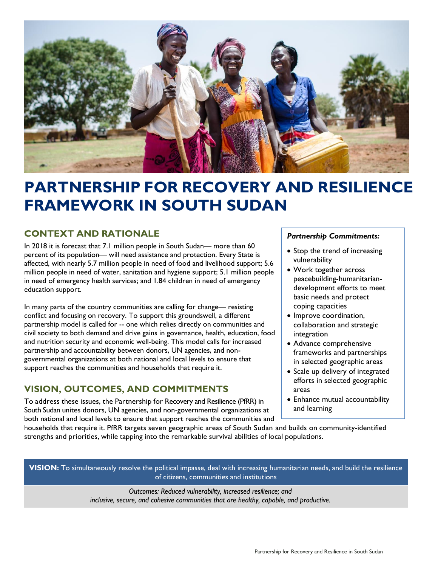

# **PARTNERSHIP FOR RECOVERY AND RESILIENCE FRAMEWORK IN SOUTH SUDAN**

## **CONTEXT AND RATIONALE**

In 2018 it is forecast that 7.1 million people in South Sudan— more than 60 percent of its population— will need assistance and protection. Every State is affected, with nearly 5.7 million people in need of food and livelihood support; 5.6 million people in need of water, sanitation and hygiene support; 5.1 million people in need of emergency health services; and 1.84 children in need of emergency education support.

In many parts of the country communities are calling for change— resisting conflict and focusing on recovery. To support this groundswell, a different partnership model is called for -- one which relies directly on communities and civil society to both demand and drive gains in governance, health, education, food and nutrition security and economic well-being. This model calls for increased partnership and accountability between donors, UN agencies, and nongovernmental organizations at both national and local levels to ensure that support reaches the communities and households that require it.

## **VISION, OUTCOMES, AND COMMITMENTS**

To address these issues, the Partnership for Recovery and Resilience (PfRR) in South Sudan unites donors, UN agencies, and non-governmental organizations at both national and local levels to ensure that support reaches the communities and

#### *Partnership Commitments:*

- Stop the trend of increasing vulnerability
- Work together across peacebuilding-humanitariandevelopment efforts to meet basic needs and protect coping capacities
- Improve coordination, collaboration and strategic integration
- Advance comprehensive frameworks and partnerships in selected geographic areas
- Scale up delivery of integrated efforts in selected geographic areas
- Enhance mutual accountability and learning

households that require it. PfRR targets seven geographic areas of South Sudan and builds on community-identified strengths and priorities, while tapping into the remarkable survival abilities of local populations.

**VISION:** To simultaneously resolve the political impasse, deal with increasing humanitarian needs, and build the resilience of citizens, communities and institutions

> *Outcomes: Reduced vulnerability, increased resilience; and inclusive, secure, and cohesive communities that are healthy, capable, and productive.*